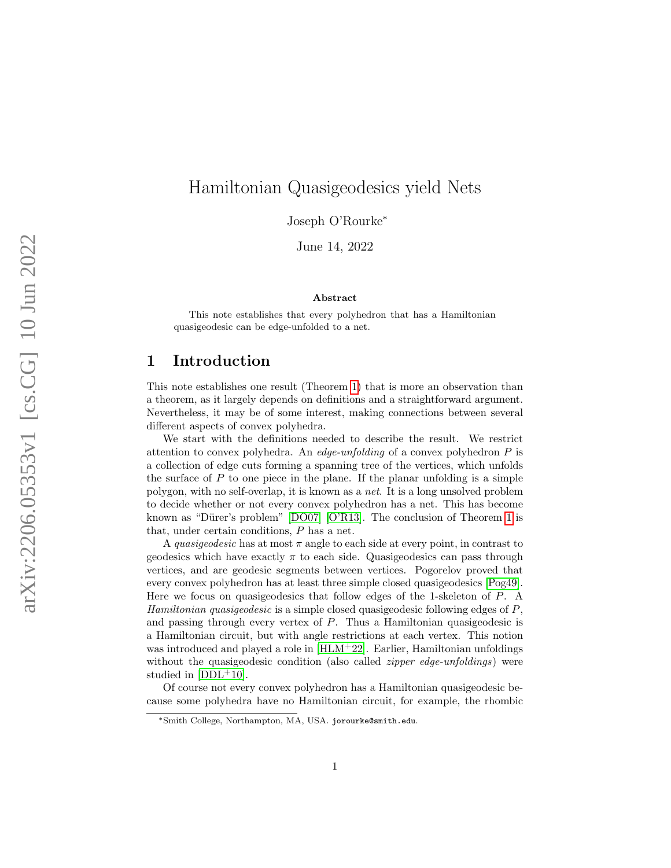# Hamiltonian Quasigeodesics yield Nets

Joseph O'Rourke<sup>\*</sup>

June 14, 2022

#### Abstract

This note establishes that every polyhedron that has a Hamiltonian quasigeodesic can be edge-unfolded to a net.

# 1 Introduction

This note establishes one result (Theorem [1\)](#page-1-0) that is more an observation than a theorem, as it largely depends on definitions and a straightforward argument. Nevertheless, it may be of some interest, making connections between several different aspects of convex polyhedra.

We start with the definitions needed to describe the result. We restrict attention to convex polyhedra. An *edge-unfolding* of a convex polyhedron  $P$  is a collection of edge cuts forming a spanning tree of the vertices, which unfolds the surface of P to one piece in the plane. If the planar unfolding is a simple polygon, with no self-overlap, it is known as a net. It is a long unsolved problem to decide whether or not every convex polyhedron has a net. This has become known as "Dürer's problem"  $[DO07]$   $[O'R13]$ . The conclusion of Theorem [1](#page-1-0) is that, under certain conditions, P has a net.

A *quasigeodesic* has at most  $\pi$  angle to each side at every point, in contrast to geodesics which have exactly  $\pi$  to each side. Quasigeodesics can pass through vertices, and are geodesic segments between vertices. Pogorelov proved that every convex polyhedron has at least three simple closed quasigeodesics [\[Pog49\]](#page-5-2). Here we focus on quasigeodesics that follow edges of the 1-skeleton of P. A Hamiltonian quasigeodesic is a simple closed quasigeodesic following edges of P, and passing through every vertex of P. Thus a Hamiltonian quasigeodesic is a Hamiltonian circuit, but with angle restrictions at each vertex. This notion was introduced and played a role in [\[HLM](#page-5-3)<sup>+</sup>22]. Earlier, Hamiltonian unfoldings without the quasigeodesic condition (also called *zipper edge-unfoldings*) were studied in  $[DDL+10]$  $[DDL+10]$ .

Of course not every convex polyhedron has a Hamiltonian quasigeodesic because some polyhedra have no Hamiltonian circuit, for example, the rhombic

<sup>∗</sup>Smith College, Northampton, MA, USA. jorourke@smith.edu.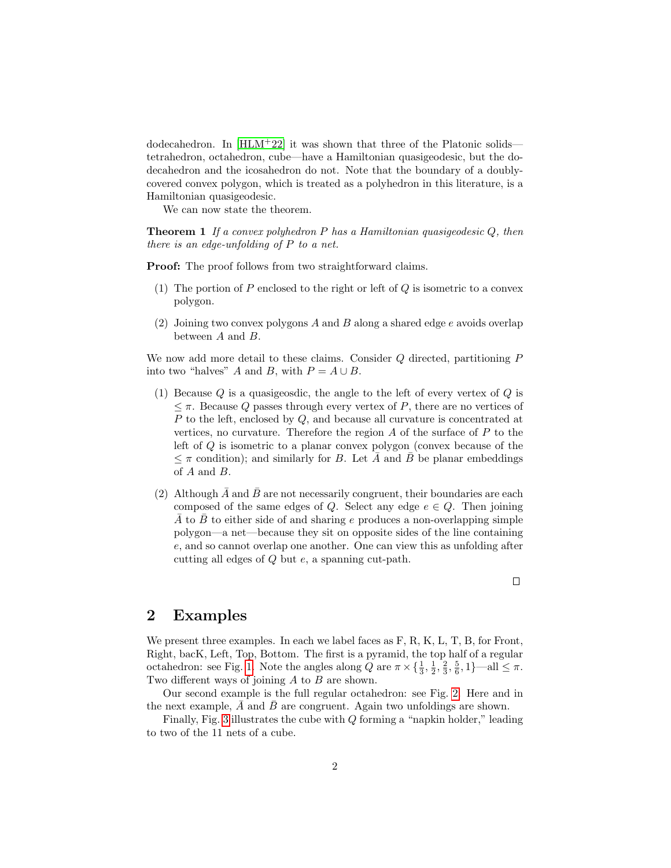dodecahedron. In [\[HLM](#page-5-3)+22] it was shown that three of the Platonic solids tetrahedron, octahedron, cube—have a Hamiltonian quasigeodesic, but the dodecahedron and the icosahedron do not. Note that the boundary of a doublycovered convex polygon, which is treated as a polyhedron in this literature, is a Hamiltonian quasigeodesic.

<span id="page-1-0"></span>We can now state the theorem.

**Theorem 1** If a convex polyhedron P has a Hamiltonian quasigeodesic  $Q$ , then there is an edge-unfolding of  $P$  to a net.

Proof: The proof follows from two straightforward claims.

- (1) The portion of  $P$  enclosed to the right or left of  $Q$  is isometric to a convex polygon.
- (2) Joining two convex polygons A and B along a shared edge  $e$  avoids overlap between A and B.

We now add more detail to these claims. Consider Q directed, partitioning P into two "halves" A and B, with  $P = A \cup B$ .

- (1) Because  $Q$  is a quasigeosdic, the angle to the left of every vertex of  $Q$  is  $\leq \pi$ . Because Q passes through every vertex of P, there are no vertices of P to the left, enclosed by Q, and because all curvature is concentrated at vertices, no curvature. Therefore the region  $A$  of the surface of  $P$  to the left of Q is isometric to a planar convex polygon (convex because of the  $\leq \pi$  condition); and similarly for B. Let  $\bar{A}$  and  $\bar{B}$  be planar embeddings of A and B.
- (2) Although  $\overline{A}$  and  $\overline{B}$  are not necessarily congruent, their boundaries are each composed of the same edges of Q. Select any edge  $e \in Q$ . Then joining A to B to either side of and sharing e produces a non-overlapping simple polygon—a net—because they sit on opposite sides of the line containing e, and so cannot overlap one another. One can view this as unfolding after cutting all edges of Q but e, a spanning cut-path.

# $\Box$

#### 2 Examples

We present three examples. In each we label faces as F, R, K, L, T, B, for Front, Right, bacK, Left, Top, Bottom. The first is a pyramid, the top half of a regular octahedron: see Fig. [1.](#page-2-0) Note the angles along  $Q$  are  $\pi \times \{\frac{1}{3}, \frac{1}{2}, \frac{2}{3}, \frac{5}{6}, 1\}$ —all  $\leq \pi$ . Two different ways of joining  $A$  to  $B$  are shown.

Our second example is the full regular octahedron: see Fig. [2.](#page-3-0) Here and in the next example,  $\overline{A}$  and  $\overline{B}$  are congruent. Again two unfoldings are shown.

Finally, Fig. [3](#page-4-0) illustrates the cube with Q forming a "napkin holder," leading to two of the 11 nets of a cube.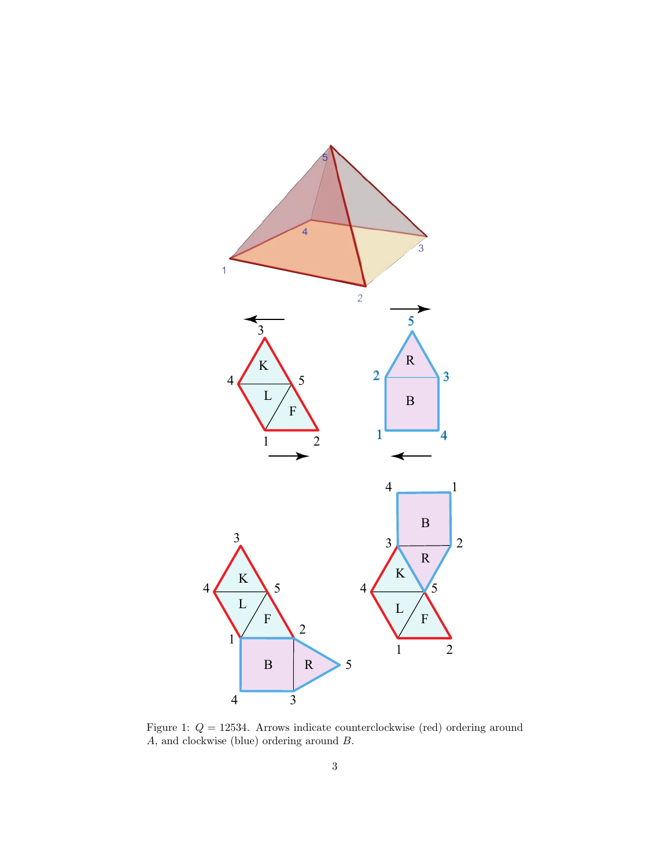

<span id="page-2-0"></span>Figure 1:  $Q = 12534$ . Arrows indicate counterclockwise (red) ordering around A, and clockwise (blue) ordering around B.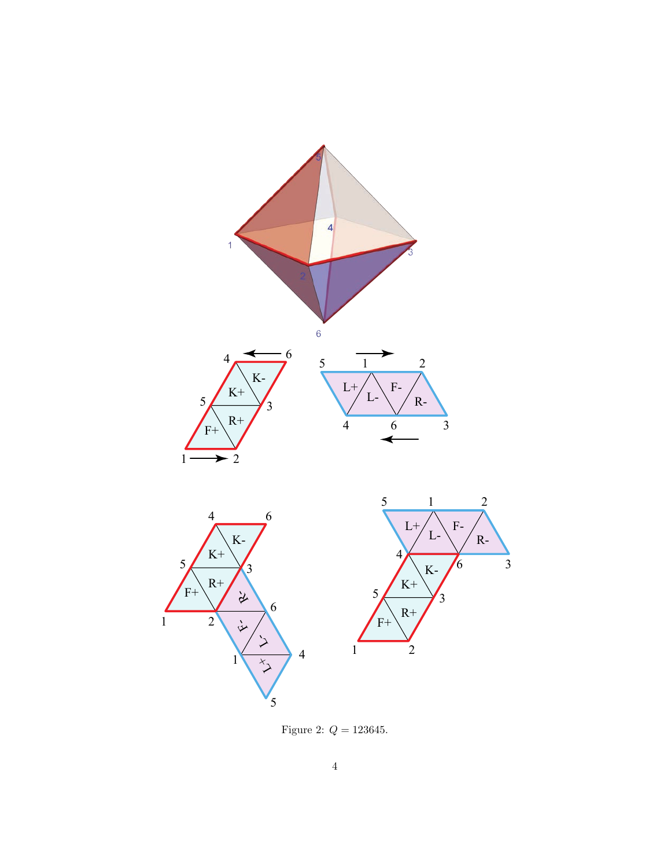

<span id="page-3-0"></span>Figure 2:  $Q = 123645$ .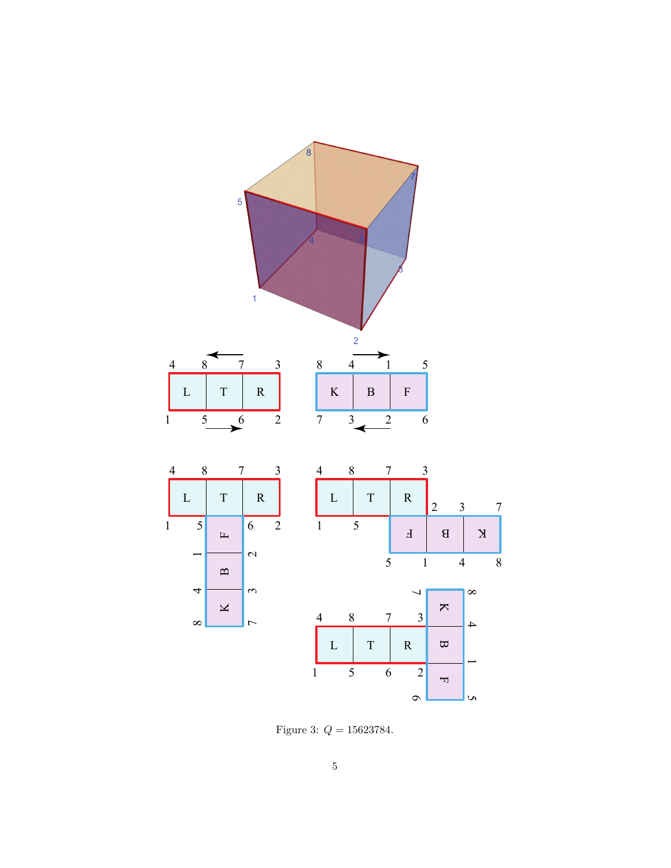

<span id="page-4-0"></span>Figure 3:  $Q = 15623784$ .